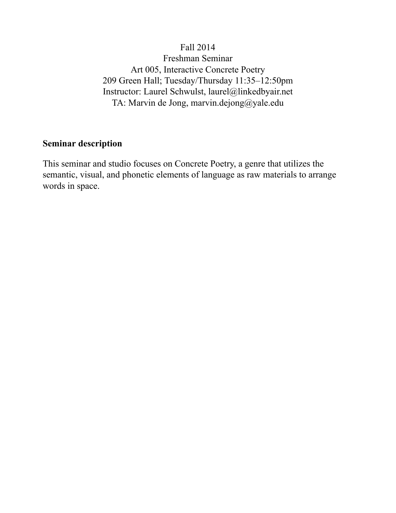### Fall 2014 Freshman Seminar Art 005, Interactive Concrete Poetry 209 Green Hall; Tuesday/Thursday 11:35–12:50pm Instructor: Laurel Schwulst, laurel@linkedbyair.net TA: Marvin de Jong, marvin.dejong@yale.edu

#### **Seminar description**

This seminar and studio focuses on Concrete Poetry, a genre that utilizes the semantic, visual, and phonetic elements of language as raw materials to arrange words in space.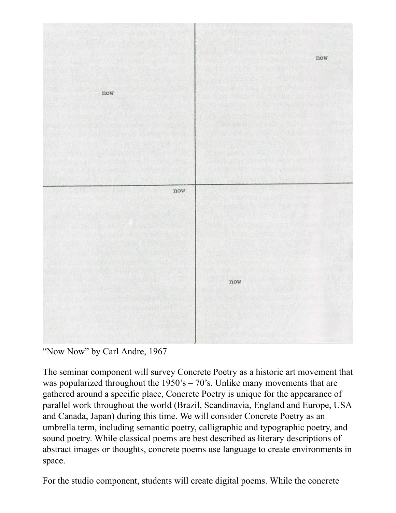

"Now Now" by Carl Andre, 1967

The seminar component will survey Concrete Poetry as a historic art movement that was popularized throughout the 1950's – 70's. Unlike many movements that are gathered around a specific place, Concrete Poetry is unique for the appearance of parallel work throughout the world (Brazil, Scandinavia, England and Europe, USA and Canada, Japan) during this time. We will consider Concrete Poetry as an umbrella term, including semantic poetry, calligraphic and typographic poetry, and sound poetry. While classical poems are best described as literary descriptions of abstract images or thoughts, concrete poems use language to create environments in space.

For the studio component, students will create digital poems. While the concrete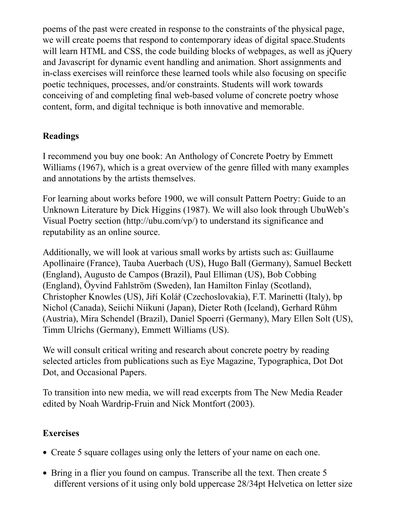poems of the past were created in response to the constraints of the physical page, we will create poems that respond to contemporary ideas of digital space.Students will learn HTML and CSS, the code building blocks of webpages, as well as jQuery and Javascript for dynamic event handling and animation. Short assignments and in-class exercises will reinforce these learned tools while also focusing on specific poetic techniques, processes, and/or constraints. Students will work towards conceiving of and completing final web-based volume of concrete poetry whose content, form, and digital technique is both innovative and memorable.

# **Readings**

I recommend you buy one book: An Anthology of Concrete Poetry by Emmett Williams (1967), which is a great overview of the genre filled with many examples and annotations by the artists themselves.

For learning about works before 1900, we will consult Pattern Poetry: Guide to an Unknown Literature by Dick Higgins (1987). We will also look through UbuWeb's Visual Poetry section [\(http://ubu.com/vp/](http://ubu.com/vp/)) to understand its significance and reputability as an online source.

Additionally, we will look at various small works by artists such as: Guillaume Apollinaire (France), Tauba Auerbach (US), Hugo Ball (Germany), Samuel Beckett (England), Augusto de Campos (Brazil), Paul Elliman (US), Bob Cobbing (England), Öyvind Fahlström (Sweden), Ian Hamilton Finlay (Scotland), Christopher Knowles (US), Jiří Kolář (Czechoslovakia), F.T. Marinetti (Italy), bp Nichol (Canada), Seiichi Niikuni (Japan), Dieter Roth (Iceland), Gerhard Rühm (Austria), Mira Schendel (Brazil), Daniel Spoerri (Germany), Mary Ellen Solt (US), Timm Ulrichs (Germany), Emmett Williams (US).

We will consult critical writing and research about concrete poetry by reading selected articles from publications such as Eye Magazine, Typographica, Dot Dot Dot, and Occasional Papers.

To transition into new media, we will read excerpts from The New Media Reader edited by Noah Wardrip-Fruin and Nick Montfort (2003).

# **Exercises**

- Create 5 square collages using only the letters of your name on each one.
- Bring in a flier you found on campus. Transcribe all the text. Then create 5 different versions of it using only bold uppercase 28/34pt Helvetica on letter size